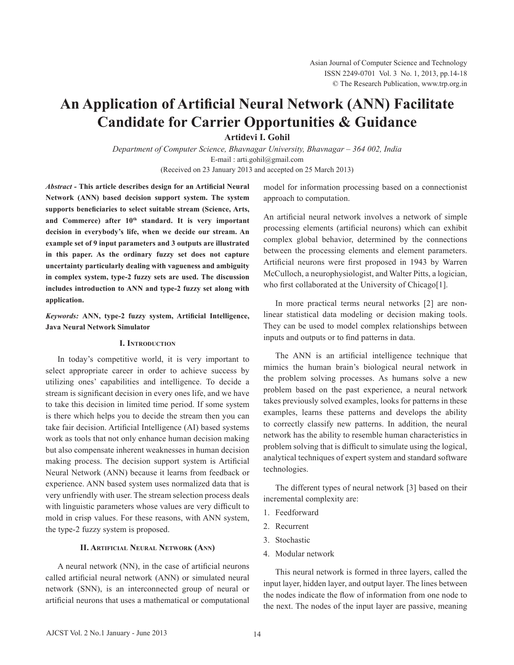# **An Application of Artificial Neural Network (ANN) Facilitate Candidate for Carrier Opportunities & Guidance**

**Artidevi I. Gohil**

*Department of Computer Science, Bhavnagar University, Bhavnagar – 364 002, India* E-mail : arti.gohil@gmail.com (Received on 23 January 2013 and accepted on 25 March 2013)

*Abstract -* **This article describes design for an Artificial Neural Network (ANN) based decision support system. The system supports beneficiaries to select suitable stream (Science, Arts,** and Commerce) after 10<sup>th</sup> standard. It is very important **decision in everybody's life, when we decide our stream. An example set of 9 input parameters and 3 outputs are illustrated in this paper. As the ordinary fuzzy set does not capture uncertainty particularly dealing with vagueness and ambiguity in complex system, type-2 fuzzy sets are used. The discussion includes introduction to ANN and type-2 fuzzy set along with application.**

*Keywords:* **ANN, type-2 fuzzy system, Artificial Intelligence, Java Neural Network Simulator** 

#### **I. Introduction**

In today's competitive world, it is very important to select appropriate career in order to achieve success by utilizing ones' capabilities and intelligence. To decide a stream is significant decision in every ones life, and we have to take this decision in limited time period. If some system is there which helps you to decide the stream then you can take fair decision. Artificial Intelligence (AI) based systems work as tools that not only enhance human decision making but also compensate inherent weaknesses in human decision making process. The decision support system is Artificial Neural Network (ANN) because it learns from feedback or experience. ANN based system uses normalized data that is very unfriendly with user. The stream selection process deals with linguistic parameters whose values are very difficult to mold in crisp values. For these reasons, with ANN system, the type-2 fuzzy system is proposed.

## **II. Artificial Neural Network (Ann)**

 A neural network (NN), in the case of artificial neurons called artificial neural network (ANN) or simulated neural network (SNN), is an interconnected group of neural or artificial neurons that uses a mathematical or computational model for information processing based on a connectionist approach to computation.

An artificial neural network involves a network of simple processing elements (artificial neurons) which can exhibit complex global behavior, determined by the connections between the processing elements and element parameters. Artificial neurons were first proposed in 1943 by Warren McCulloch, a neurophysiologist, and Walter Pitts, a logician, who first collaborated at the University of Chicago[1].

In more practical terms neural networks [2] are nonlinear statistical data modeling or decision making tools. They can be used to model complex relationships between inputs and outputs or to find patterns in data.

 The ANN is an artificial intelligence technique that mimics the human brain's biological neural network in the problem solving processes. As humans solve a new problem based on the past experience, a neural network takes previously solved examples, looks for patterns in these examples, learns these patterns and develops the ability to correctly classify new patterns. In addition, the neural network has the ability to resemble human characteristics in problem solving that is difficult to simulate using the logical, analytical techniques of expert system and standard software technologies.

The different types of neural network [3] based on their incremental complexity are:

- 1. Feedforward
- 2. Recurrent
- 3. Stochastic
- 4. Modular network

This neural network is formed in three layers, called the input layer, hidden layer, and output layer. The lines between the nodes indicate the flow of information from one node to the next. The nodes of the input layer are passive, meaning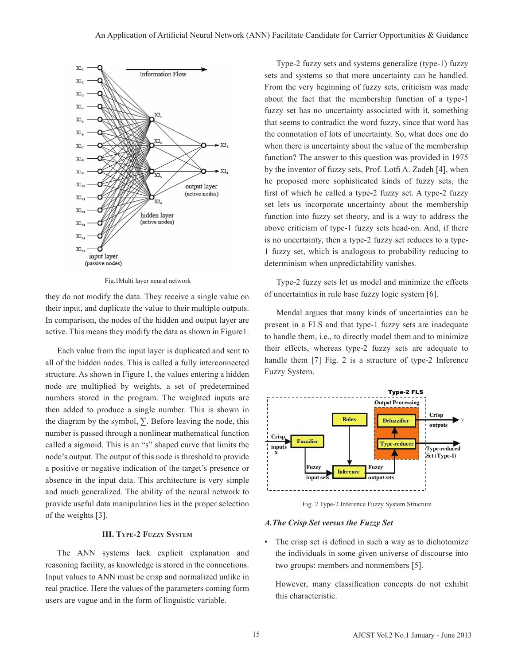

Fig.1Multi layer neural network

they do not modify the data. They receive a single value on their input, and duplicate the value to their multiple outputs. In comparison, the nodes of the hidden and output layer are active. This means they modify the data as shown in Figure1.

Each value from the input layer is duplicated and sent to all of the hidden nodes. This is called a fully interconnected structure. As shown in Figure 1, the values entering a hidden node are multiplied by weights, a set of predetermined numbers stored in the program. The weighted inputs are then added to produce a single number. This is shown in the diagram by the symbol,  $\Sigma$ . Before leaving the node, this number is passed through a nonlinear mathematical function called a sigmoid. This is an "s" shaped curve that limits the node's output. The output of this node is threshold to provide a positive or negative indication of the target's presence or absence in the input data. This architecture is very simple and much generalized. The ability of the neural network to provide useful data manipulation lies in the proper selection of the weights [3].

#### **III. Type-2 Fuzzy System**

 The ANN systems lack explicit explanation and reasoning facility, as knowledge is stored in the connections. Input values to ANN must be crisp and normalized unlike in real practice. Here the values of the parameters coming form users are vague and in the form of linguistic variable.

Type-2 fuzzy sets and systems generalize (type-1) fuzzy sets and systems so that more uncertainty can be handled. From the very beginning of fuzzy sets, criticism was made about the fact that the membership function of a type-1 fuzzy set has no uncertainty associated with it, something that seems to contradict the word fuzzy, since that word has the connotation of lots of uncertainty. So, what does one do when there is uncertainty about the value of the membership function? The answer to this question was provided in 1975 by the inventor of fuzzy sets, Prof. Lotfi A. Zadeh [4], when he proposed more sophisticated kinds of fuzzy sets, the first of which he called a type-2 fuzzy set. A type-2 fuzzy set lets us incorporate uncertainty about the membership function into fuzzy set theory, and is a way to address the above criticism of type-1 fuzzy sets head-on. And, if there is no uncertainty, then a type-2 fuzzy set reduces to a type-1 fuzzy set, which is analogous to probability reducing to determinism when unpredictability vanishes.

Type-2 fuzzy sets let us model and minimize the effects of uncertainties in rule base fuzzy logic system [6].

Mendal argues that many kinds of uncertainties can be present in a FLS and that type-1 fuzzy sets are inadequate to handle them, i.e., to directly model them and to minimize their effects, whereas type-2 fuzzy sets are adequate to handle them [7] Fig. 2 is a structure of type-2 Inference Fuzzy System.



Fig. 2 Type-2 Inference Fuzzy System Structure

#### *A.The Crisp Set versus the Fuzzy Set*

The crisp set is defined in such a way as to dichotomize the individuals in some given universe of discourse into two groups: members and nonmembers [5].

 However, many classification concepts do not exhibit this characteristic.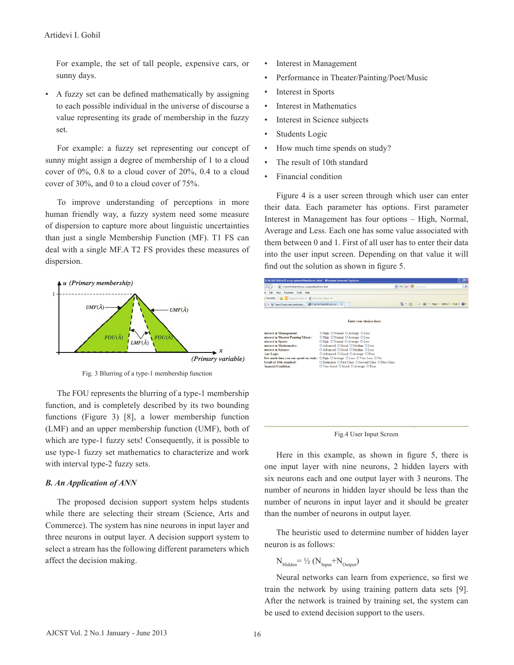For example, the set of tall people, expensive cars, or sunny days.

• A fuzzy set can be defined mathematically by assigning to each possible individual in the universe of discourse a value representing its grade of membership in the fuzzy set.

 For example: a fuzzy set representing our concept of sunny might assign a degree of membership of 1 to a cloud cover of 0%, 0.8 to a cloud cover of 20%, 0.4 to a cloud cover of 30%, and 0 to a cloud cover of 75%.

To improve understanding of perceptions in more human friendly way, a fuzzy system need some measure of dispersion to capture more about linguistic uncertainties than just a single Membership Function (MF). T1 FS can deal with a single MF.A T2 FS provides these measures of dispersion.



Fig. 3 Blurring of a type-1 membership function

The FOU represents the blurring of a type-1 membership function, and is completely described by its two bounding functions (Figure 3) [8], a lower membership function (LMF) and an upper membership function (UMF), both of which are type-1 fuzzy sets! Consequently, it is possible to use type-1 fuzzy set mathematics to characterize and work with interval type-2 fuzzy sets.

#### *B. An Application of ANN*

The proposed decision support system helps students while there are selecting their stream (Science, Arts and Commerce). The system has nine neurons in input layer and three neurons in output layer. A decision support system to select a stream has the following different parameters which affect the decision making.

- Interest in Management
- Performance in Theater/Painting/Poet/Music
- Interest in Sports
- Interest in Mathematics
- Interest in Science subjects
- Students Logic
- How much time spends on study?
- The result of 10th standard
- Financial condition

 Figure 4 is a user screen through which user can enter their data. Each parameter has options. First parameter Interest in Management has four options – High, Normal, Average and Less. Each one has some value associated with them between 0 and 1. First of all user has to enter their data into the user input screen. Depending on that value it will find out the solution as shown in figure 5.

| D:M-DATAMrtiVFuzzy systemWewVform.html - Windows Internet Explorer                                                                                                                                                   |                                                                                                                                                                                                                                                                                                                                                                                                              |                                                                     | ool |
|----------------------------------------------------------------------------------------------------------------------------------------------------------------------------------------------------------------------|--------------------------------------------------------------------------------------------------------------------------------------------------------------------------------------------------------------------------------------------------------------------------------------------------------------------------------------------------------------------------------------------------------------|---------------------------------------------------------------------|-----|
| C D:\A-DATA\Arti\Fuzzy system\Newl/form.html                                                                                                                                                                         |                                                                                                                                                                                                                                                                                                                                                                                                              | $\frac{1}{2}$ $\frac{1}{2}$ $\frac{1}{2}$ $\frac{1}{2}$ Live Search |     |
| View Favorites Tools Help<br>Edit<br>le.                                                                                                                                                                             |                                                                                                                                                                                                                                                                                                                                                                                                              |                                                                     |     |
| Suggested Sites . 2 Web Site Gallery .<br>Favorites                                                                                                                                                                  |                                                                                                                                                                                                                                                                                                                                                                                                              |                                                                     |     |
| E . W Type-2 fuzzy sets and syste  CD:\A-DATA\Arti\Fuzzy sy X                                                                                                                                                        |                                                                                                                                                                                                                                                                                                                                                                                                              | ☆ · 同 · □ 曲 · Page · Safety · Tools · @ ·                           |     |
|                                                                                                                                                                                                                      |                                                                                                                                                                                                                                                                                                                                                                                                              |                                                                     |     |
|                                                                                                                                                                                                                      | Enter your choices here:                                                                                                                                                                                                                                                                                                                                                                                     |                                                                     |     |
| nterest in Management:<br>nterest in Theater/Painting/Music:<br>nterest in Sports:<br>nterest in Mathematics:<br>nterest in Science:<br>(our Logic:<br><b>Result of 10th standard:</b><br><b>inancial Condition:</b> | © High © Normal © Average © Less<br>© High © Normal © Average © Less<br>© High © Normal © Average © Less<br>○ Advanced © Good ○ Medium ○ Less<br>© Advanced ⊙ Good ⊙ Medium ⊙ Less<br>© Advanced © Good © Average © Poor<br>Iow much time you can spend on study: ⊙ High ⊙ Average ⊙ Less ⊙ Very Less ⊙ No<br>© Distinction © First Class © Second Class © Pass Class<br>© Verv Good © Good © Average © Poor |                                                                     |     |

Fig.4 User Input Screen

 Here in this example, as shown in figure 5, there is one input layer with nine neurons, 2 hidden layers with six neurons each and one output layer with 3 neurons. The number of neurons in hidden layer should be less than the number of neurons in input layer and it should be greater than the number of neurons in output layer.

The heuristic used to determine number of hidden layer neuron is as follows:

$$
N_{\text{Hidden}} = \frac{1}{2} (N_{\text{Input}} + N_{\text{Output}})
$$

 Neural networks can learn from experience, so first we train the network by using training pattern data sets [9]. After the network is trained by training set, the system can be used to extend decision support to the users.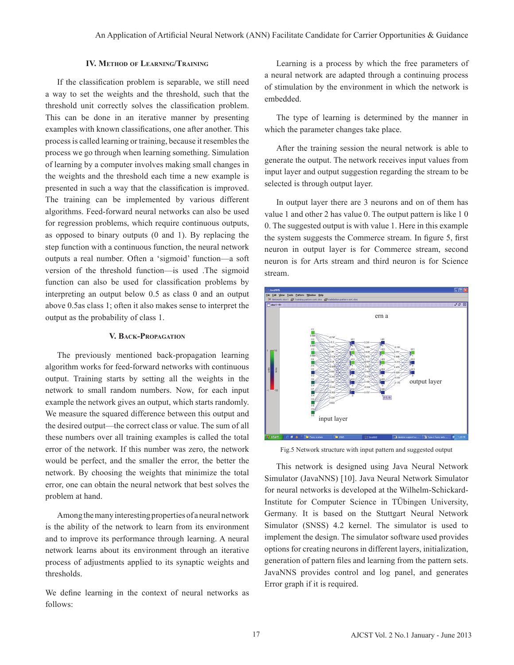## **IV. Method of Learning/Training**

 If the classification problem is separable, we still need a way to set the weights and the threshold, such that the threshold unit correctly solves the classification problem. This can be done in an iterative manner by presenting examples with known classifications, one after another. This process is called learning or training, because it resembles the process we go through when learning something. Simulation of learning by a computer involves making small changes in the weights and the threshold each time a new example is presented in such a way that the classification is improved. The training can be implemented by various different algorithms. Feed-forward neural networks can also be used for regression problems, which require continuous outputs, as opposed to binary outputs (0 and 1). By replacing the step function with a continuous function, the neural network outputs a real number. Often a 'sigmoid' function—a soft version of the threshold function—is used .The sigmoid function can also be used for classification problems by interpreting an output below 0.5 as class 0 and an output above 0.5as class 1; often it also makes sense to interpret the output as the probability of class 1.

## **V. Back-Propagation**

The previously mentioned back-propagation learning algorithm works for feed-forward networks with continuous output. Training starts by setting all the weights in the network to small random numbers. Now, for each input example the network gives an output, which starts randomly. We measure the squared difference between this output and the desired output—the correct class or value. The sum of all these numbers over all training examples is called the total error of the network. If this number was zero, the network would be perfect, and the smaller the error, the better the network. By choosing the weights that minimize the total error, one can obtain the neural network that best solves the problem at hand.

Among the many interesting properties of a neural network is the ability of the network to learn from its environment and to improve its performance through learning. A neural network learns about its environment through an iterative process of adjustments applied to its synaptic weights and thresholds.

We define learning in the context of neural networks as follows:

Learning is a process by which the free parameters of a neural network are adapted through a continuing process of stimulation by the environment in which the network is embedded.

The type of learning is determined by the manner in which the parameter changes take place.

After the training session the neural network is able to generate the output. The network receives input values from input layer and output suggestion regarding the stream to be selected is through output layer.

In output layer there are 3 neurons and on of them has value 1 and other 2 has value 0. The output pattern is like 1 0 0. The suggested output is with value 1. Here in this example the system suggests the Commerce stream. In figure 5, first neuron in output layer is for Commerce stream, second neuron is for Arts stream and third neuron is for Science stream.



Fig.5 Network structure with input pattern and suggested output

This network is designed using Java Neural Network Simulator (JavaNNS) [10]. Java Neural Network Simulator for neural networks is developed at the Wilhelm-Schickard-Institute for Computer Science in TÜbingen University, Germany. It is based on the Stuttgart Neural Network Simulator (SNSS) 4.2 kernel. The simulator is used to implement the design. The simulator software used provides options for creating neurons in different layers, initialization, generation of pattern files and learning from the pattern sets. JavaNNS provides control and log panel, and generates Error graph if it is required.